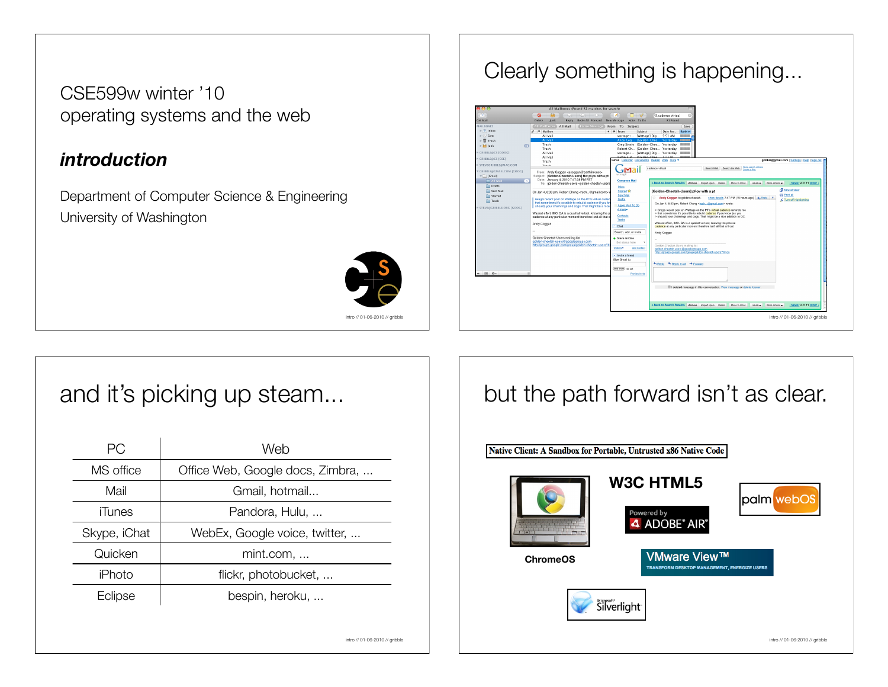CSE599w winter '10 operating systems and the web

#### *introduction*

Department of Computer Science & Engineering University of Washington



intro // 01-06-2010 // gribble

#### Clearly something is happening...



## and it's picking up steam...

| PG.          | Web                              |
|--------------|----------------------------------|
| MS office    | Office Web, Google docs, Zimbra, |
| Mail         | Gmail, hotmail                   |
| iTunes       | Pandora, Hulu,                   |
| Skype, iChat | WebEx, Google voice, twitter,    |
| Quicken      | mint.com,                        |
| iPhoto       | flickr, photobucket,             |
| Eclipse      | bespin, heroku,                  |
|              |                                  |

#### but the path forward isn't as clear.

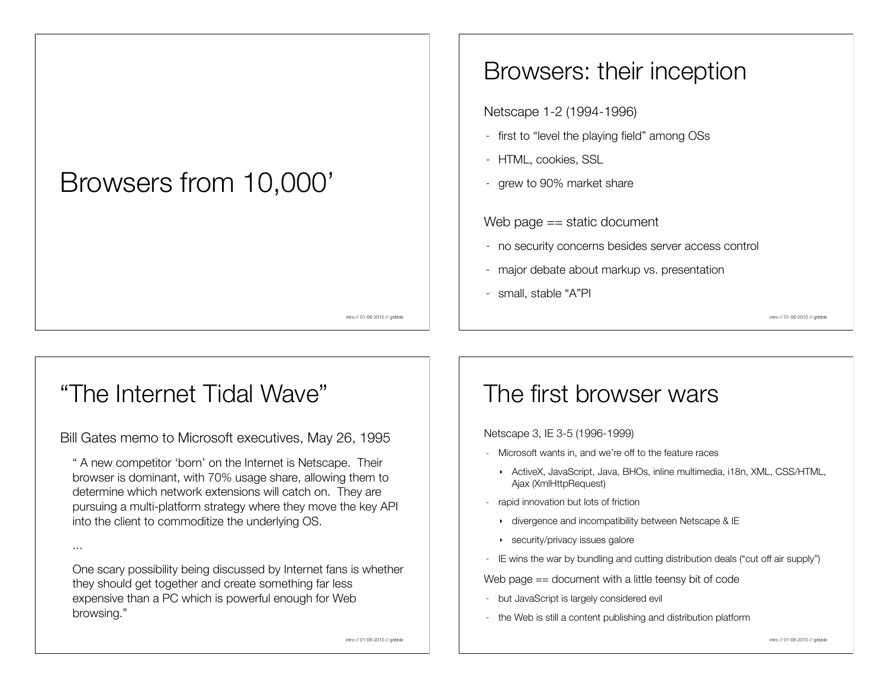## Browsers from 10,000'

## Browsers: their inception

Netscape 1-2 (1994-1996)

- first to "level the playing field" among OSs
- HTML, cookies, SSL
- grew to 90% market share

Web page == static document

- no security concerns besides server access control
- major debate about markup vs. presentation
- small, stable "A"PI

intro // 01-06-2010 // gribble

#### intro // 01-06-2010 // gribble

## "The Internet Tidal Wave"

...

Bill Gates memo to Microsoft executives, May 26, 1995

" A new competitor 'born' on the Internet is Netscape. Their browser is dominant, with 70% usage share, allowing them to determine which network extensions will catch on. They are pursuing a multi-platform strategy where they move the key API into the client to commoditize the underlying OS.

One scary possibility being discussed by Internet fans is whether they should get together and create something far less expensive than a PC which is powerful enough for Web browsing."

#### The first browser wars

Netscape 3, IE 3-5 (1996-1999)

- Microsoft wants in, and we're off to the feature races
	- ‣ ActiveX, JavaScript, Java, BHOs, inline multimedia, i18n, XML, CSS/HTML, Ajax (XmlHttpRequest)
- rapid innovation but lots of friction
	- ‣ divergence and incompatibility between Netscape & IE
	- ‣ security/privacy issues galore
- IE wins the war by bundling and cutting distribution deals ("cut off air supply")

Web page == document with a little teensy bit of code

- but JavaScript is largely considered evil
- the Web is still a content publishing and distribution platform

intro // 01-06-2010 // gribble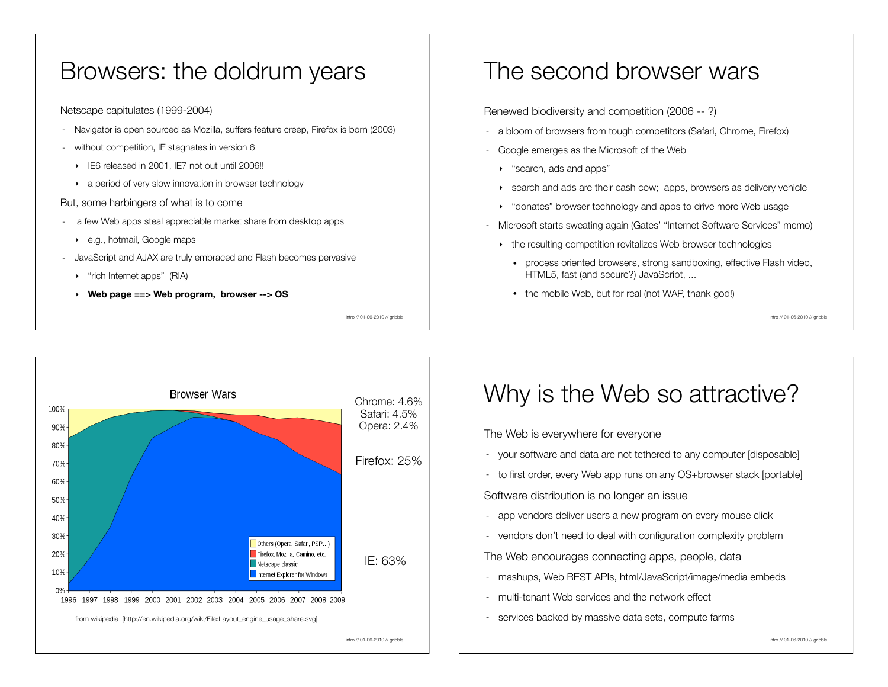#### Browsers: the doldrum years

Netscape capitulates (1999-2004)

- Navigator is open sourced as Mozilla, suffers feature creep, Firefox is born (2003)
- without competition, IE stagnates in version 6
	- ‣ IE6 released in 2001, IE7 not out until 2006!!
	- a period of very slow innovation in browser technology

#### But, some harbingers of what is to come

- a few Web apps steal appreciable market share from desktop apps
	- ‣ e.g., hotmail, Google maps
- JavaScript and AJAX are truly embraced and Flash becomes pervasive
	- ‣ "rich Internet apps" (RIA)
	- ‣ **Web page ==> Web program, browser --> OS**

intro // 01-06-2010 // gribble

#### The second browser wars

Renewed biodiversity and competition (2006 -- ?)

- a bloom of browsers from tough competitors (Safari, Chrome, Firefox)
- Google emerges as the Microsoft of the Web
	- ‣ "search, ads and apps"
	- ‣ search and ads are their cash cow; apps, browsers as delivery vehicle
	- ‣ "donates" browser technology and apps to drive more Web usage
- Microsoft starts sweating again (Gates' "Internet Software Services" memo)
	- ‣ the resulting competition revitalizes Web browser technologies
		- process oriented browsers, strong sandboxing, effective Flash video, HTML5, fast (and secure?) JavaScript, ...
		- the mobile Web, but for real (not WAP, thank god!)

intro // 01-06-2010 // gribble



## Why is the Web so attractive?

The Web is everywhere for everyone

- your software and data are not tethered to any computer [disposable]
- to first order, every Web app runs on any OS+browser stack [portable]

Software distribution is no longer an issue

- app vendors deliver users a new program on every mouse click
- vendors don't need to deal with configuration complexity problem

The Web encourages connecting apps, people, data

- mashups, Web REST APIs, html/JavaScript/image/media embeds
- multi-tenant Web services and the network effect
- services backed by massive data sets, compute farms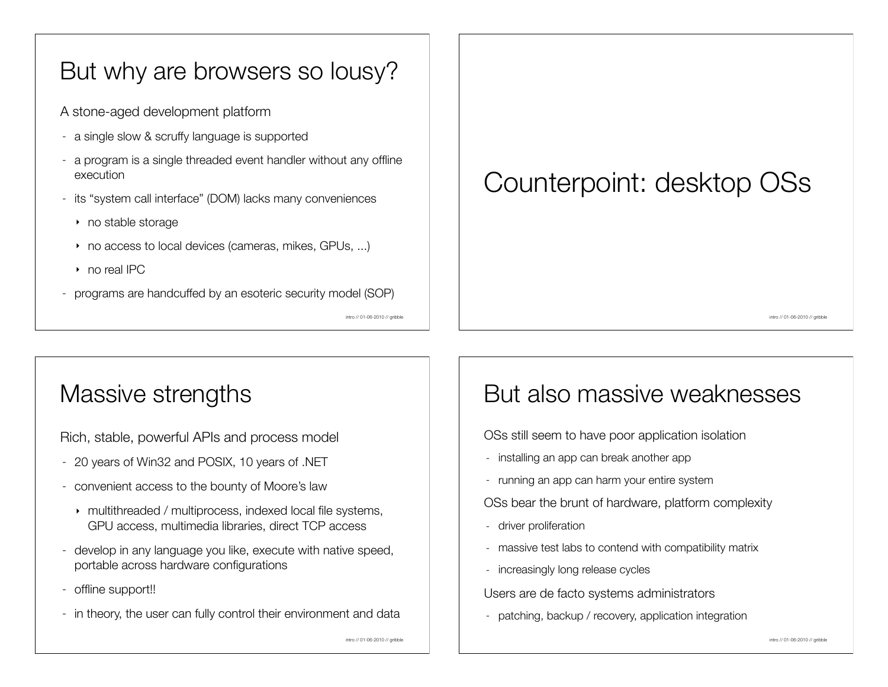#### But why are browsers so lousy?

A stone-aged development platform

- a single slow & scruffy language is supported
- a program is a single threaded event handler without any offline execution
- its "system call interface" (DOM) lacks many conveniences
	- ‣ no stable storage
	- ‣ no access to local devices (cameras, mikes, GPUs, ...)
	- ‣ no real IPC
- programs are handcuffed by an esoteric security model (SOP)

intro // 01-06-2010 // gribble

# Counterpoint: desktop OSs

But also massive weaknesses

OSs still seem to have poor application isolation

OSs bear the brunt of hardware, platform complexity

- massive test labs to contend with compatibility matrix

- installing an app can break another app

- running an app can harm your entire system

intro // 01-06-2010 // gribble

## Massive strengths

Rich, stable, powerful APIs and process model

- 20 years of Win32 and POSIX, 10 years of .NET
- convenient access to the bounty of Moore's law
	- ‣ multithreaded / multiprocess, indexed local file systems, GPU access, multimedia libraries, direct TCP access
- develop in any language you like, execute with native speed, portable across hardware configurations
- offline support!!
- in theory, the user can fully control their environment and data

#### - increasingly long release cycles

- driver proliferation

Users are de facto systems administrators

- patching, backup / recovery, application integration

intro // 01-06-2010 // gribble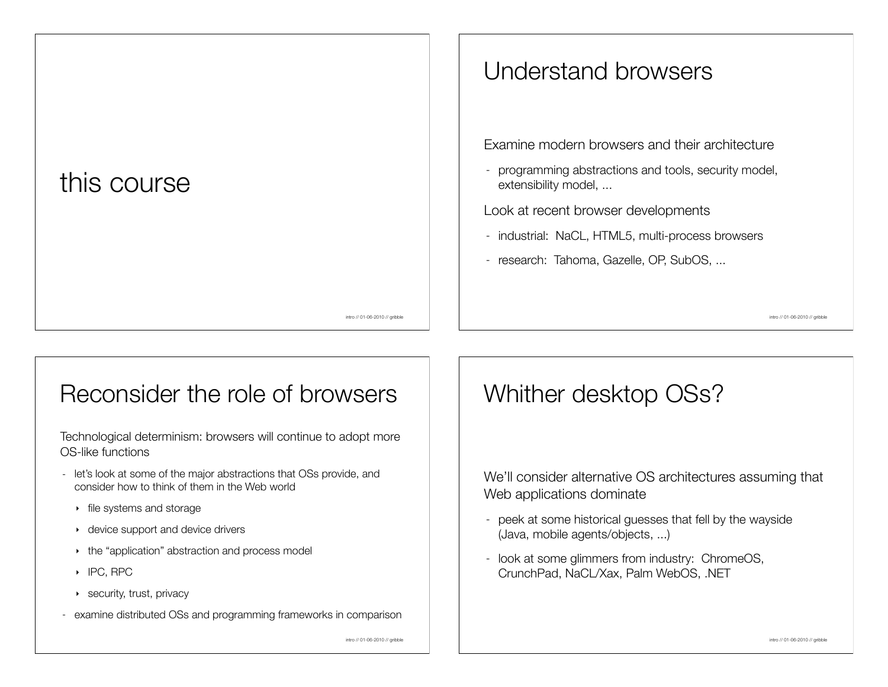# this course

#### intro // 01-06-2010 // gribble

#### Understand browsers

Examine modern browsers and their architecture

- programming abstractions and tools, security model, extensibility model, ...

Look at recent browser developments

- industrial: NaCL, HTML5, multi-process browsers
- research: Tahoma, Gazelle, OP, SubOS, ...

intro // 01-06-2010 // gribble

#### Reconsider the role of browsers

Technological determinism: browsers will continue to adopt more OS-like functions

- let's look at some of the major abstractions that OSs provide, and consider how to think of them in the Web world
	- ‣ file systems and storage
	- ‣ device support and device drivers
	- the "application" abstraction and process model
	- ‣ IPC, RPC
	- ‣ security, trust, privacy
- examine distributed OSs and programming frameworks in comparison

intro // 01-06-2010 // gribble

#### Whither desktop OSs?

We'll consider alternative OS architectures assuming that Web applications dominate

- peek at some historical guesses that fell by the wayside (Java, mobile agents/objects, ...)
- look at some glimmers from industry: ChromeOS, CrunchPad, NaCL/Xax, Palm WebOS, .NET